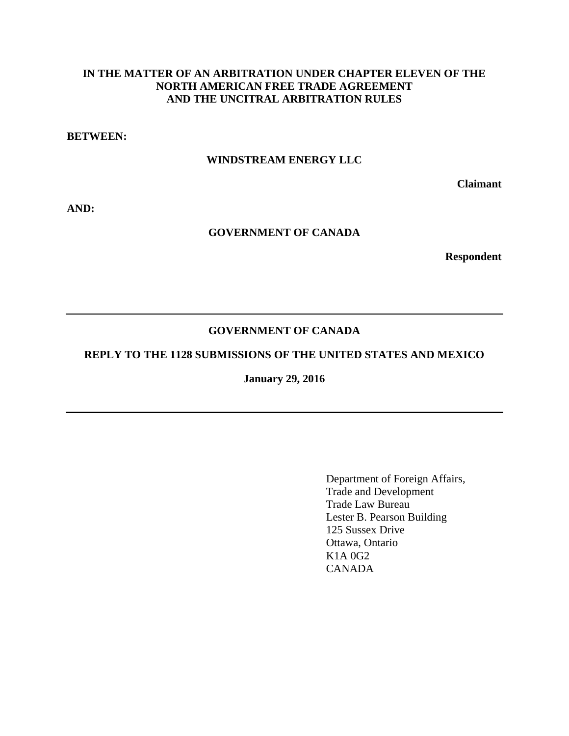# **IN THE MATTER OF AN ARBITRATION UNDER CHAPTER ELEVEN OF THE NORTH AMERICAN FREE TRADE AGREEMENT AND THE UNCITRAL ARBITRATION RULES**

**BETWEEN:** 

### **WINDSTREAM ENERGY LLC**

**Claimant** 

**AND:** 

### **GOVERNMENT OF CANADA**

**Respondent** 

### **GOVERNMENT OF CANADA**

### **REPLY TO THE 1128 SUBMISSIONS OF THE UNITED STATES AND MEXICO**

**January 29, 2016** 

Department of Foreign Affairs, Trade and Development Trade Law Bureau Lester B. Pearson Building 125 Sussex Drive Ottawa, Ontario K1A 0G2 CANADA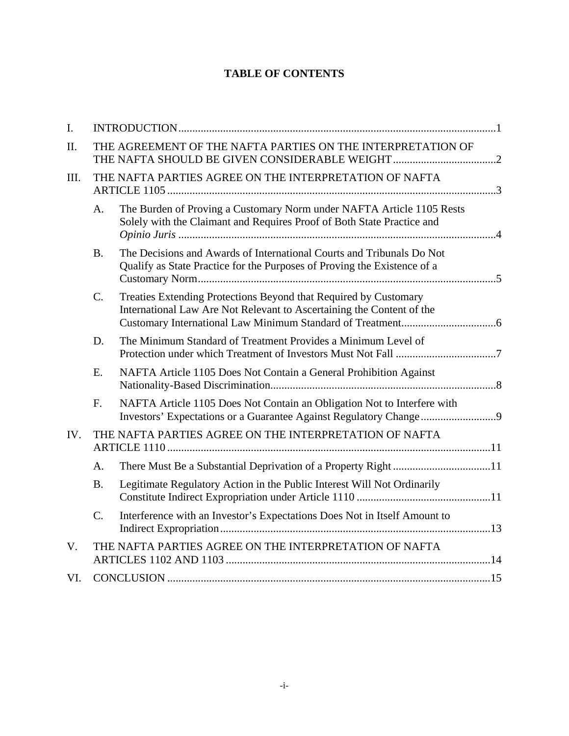# **TABLE OF CONTENTS**

| $\mathbf{I}$ . |                                                        |                                                                                                                                                   |  |  |
|----------------|--------------------------------------------------------|---------------------------------------------------------------------------------------------------------------------------------------------------|--|--|
| II.            |                                                        | THE AGREEMENT OF THE NAFTA PARTIES ON THE INTERPRETATION OF                                                                                       |  |  |
| III.           | THE NAFTA PARTIES AGREE ON THE INTERPRETATION OF NAFTA |                                                                                                                                                   |  |  |
|                | A.                                                     | The Burden of Proving a Customary Norm under NAFTA Article 1105 Rests<br>Solely with the Claimant and Requires Proof of Both State Practice and   |  |  |
|                | <b>B.</b>                                              | The Decisions and Awards of International Courts and Tribunals Do Not<br>Qualify as State Practice for the Purposes of Proving the Existence of a |  |  |
|                | C.                                                     | Treaties Extending Protections Beyond that Required by Customary<br>International Law Are Not Relevant to Ascertaining the Content of the         |  |  |
|                | D.                                                     | The Minimum Standard of Treatment Provides a Minimum Level of                                                                                     |  |  |
|                | E.                                                     | NAFTA Article 1105 Does Not Contain a General Prohibition Against                                                                                 |  |  |
|                | F.                                                     | NAFTA Article 1105 Does Not Contain an Obligation Not to Interfere with                                                                           |  |  |
| IV.            | THE NAFTA PARTIES AGREE ON THE INTERPRETATION OF NAFTA |                                                                                                                                                   |  |  |
|                | A.                                                     |                                                                                                                                                   |  |  |
|                | <b>B.</b>                                              | Legitimate Regulatory Action in the Public Interest Will Not Ordinarily                                                                           |  |  |
|                | C.                                                     | Interference with an Investor's Expectations Does Not in Itself Amount to                                                                         |  |  |
| $V_{\cdot}$    | THE NAFTA PARTIES AGREE ON THE INTERPRETATION OF NAFTA |                                                                                                                                                   |  |  |
| VI.            |                                                        |                                                                                                                                                   |  |  |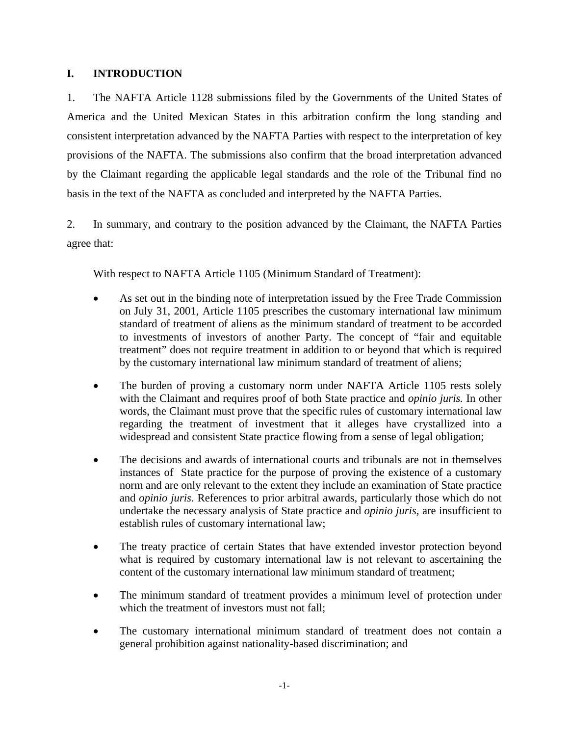# **I. INTRODUCTION**

1. The NAFTA Article 1128 submissions filed by the Governments of the United States of America and the United Mexican States in this arbitration confirm the long standing and consistent interpretation advanced by the NAFTA Parties with respect to the interpretation of key provisions of the NAFTA. The submissions also confirm that the broad interpretation advanced by the Claimant regarding the applicable legal standards and the role of the Tribunal find no basis in the text of the NAFTA as concluded and interpreted by the NAFTA Parties.

2. In summary, and contrary to the position advanced by the Claimant, the NAFTA Parties agree that:

With respect to NAFTA Article 1105 (Minimum Standard of Treatment):

- As set out in the binding note of interpretation issued by the Free Trade Commission on July 31, 2001, Article 1105 prescribes the customary international law minimum standard of treatment of aliens as the minimum standard of treatment to be accorded to investments of investors of another Party. The concept of "fair and equitable treatment" does not require treatment in addition to or beyond that which is required by the customary international law minimum standard of treatment of aliens;
- The burden of proving a customary norm under NAFTA Article 1105 rests solely with the Claimant and requires proof of both State practice and *opinio juris.* In other words, the Claimant must prove that the specific rules of customary international law regarding the treatment of investment that it alleges have crystallized into a widespread and consistent State practice flowing from a sense of legal obligation;
- The decisions and awards of international courts and tribunals are not in themselves instances of State practice for the purpose of proving the existence of a customary norm and are only relevant to the extent they include an examination of State practice and *opinio juris*. References to prior arbitral awards, particularly those which do not undertake the necessary analysis of State practice and *opinio juris*, are insufficient to establish rules of customary international law;
- The treaty practice of certain States that have extended investor protection beyond what is required by customary international law is not relevant to ascertaining the content of the customary international law minimum standard of treatment;
- The minimum standard of treatment provides a minimum level of protection under which the treatment of investors must not fall;
- The customary international minimum standard of treatment does not contain a general prohibition against nationality-based discrimination; and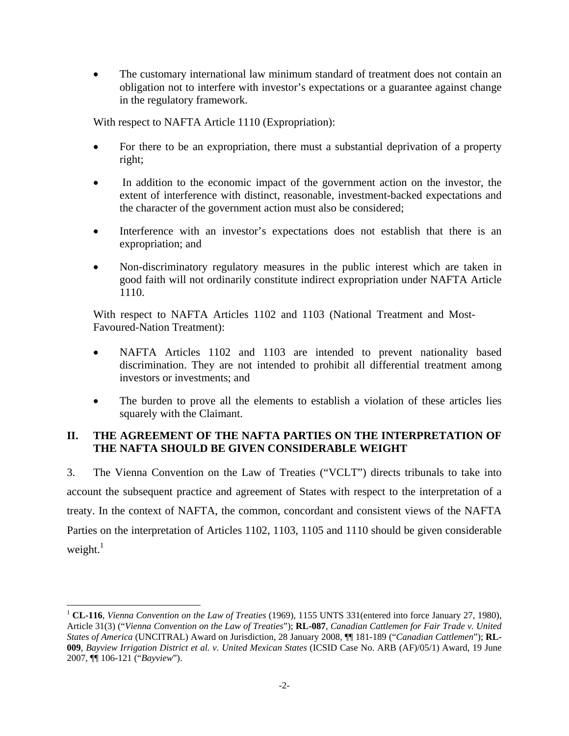• The customary international law minimum standard of treatment does not contain an obligation not to interfere with investor's expectations or a guarantee against change in the regulatory framework.

With respect to NAFTA Article 1110 (Expropriation):

- For there to be an expropriation, there must a substantial deprivation of a property right;
- In addition to the economic impact of the government action on the investor, the extent of interference with distinct, reasonable, investment-backed expectations and the character of the government action must also be considered;
- Interference with an investor's expectations does not establish that there is an expropriation; and
- Non-discriminatory regulatory measures in the public interest which are taken in good faith will not ordinarily constitute indirect expropriation under NAFTA Article 1110.

With respect to NAFTA Articles 1102 and 1103 (National Treatment and Most-Favoured-Nation Treatment):

- NAFTA Articles 1102 and 1103 are intended to prevent nationality based discrimination. They are not intended to prohibit all differential treatment among investors or investments; and
- The burden to prove all the elements to establish a violation of these articles lies squarely with the Claimant.

### **II. THE AGREEMENT OF THE NAFTA PARTIES ON THE INTERPRETATION OF THE NAFTA SHOULD BE GIVEN CONSIDERABLE WEIGHT**

3. The Vienna Convention on the Law of Treaties ("VCLT") directs tribunals to take into account the subsequent practice and agreement of States with respect to the interpretation of a treaty. In the context of NAFTA, the common, concordant and consistent views of the NAFTA Parties on the interpretation of Articles 1102, 1103, 1105 and 1110 should be given considerable weight. $1$ 

<sup>1</sup> **CL-116**, *Vienna Convention on the Law of Treaties* (1969), 1155 UNTS 331(entered into force January 27, 1980), Article 31(3) ("*Vienna Convention on the Law of Treaties*"); **RL-087**, *Canadian Cattlemen for Fair Trade v. United States of America* (UNCITRAL) Award on Jurisdiction, 28 January 2008, ¶¶ 181-189 ("*Canadian Cattlemen*"); **RL-009**, *Bayview Irrigation District et al. v. United Mexican States* (ICSID Case No. ARB (AF)/05/1) Award, 19 June 2007, ¶¶ 106-121 ("*Bayview*").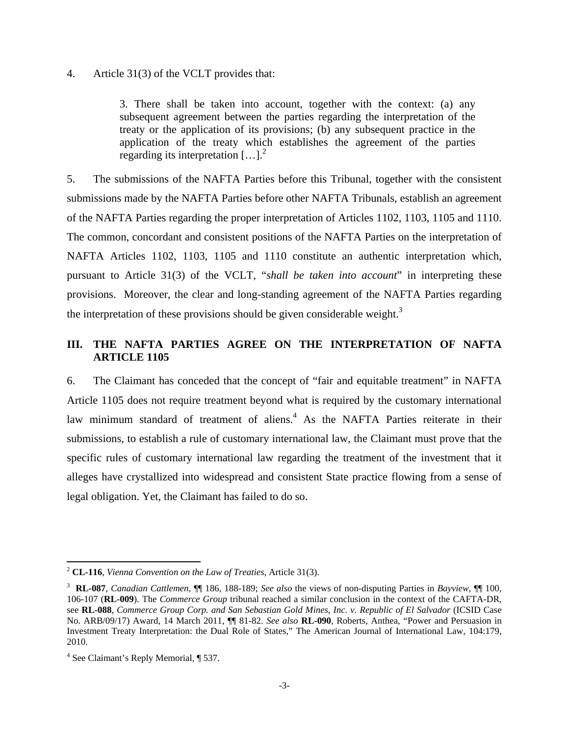#### 4. Article 31(3) of the VCLT provides that:

3. There shall be taken into account, together with the context: (a) any subsequent agreement between the parties regarding the interpretation of the treaty or the application of its provisions; (b) any subsequent practice in the application of the treaty which establishes the agreement of the parties regarding its interpretation  $\left[\ldots\right]^2$ 

5. The submissions of the NAFTA Parties before this Tribunal, together with the consistent submissions made by the NAFTA Parties before other NAFTA Tribunals, establish an agreement of the NAFTA Parties regarding the proper interpretation of Articles 1102, 1103, 1105 and 1110. The common, concordant and consistent positions of the NAFTA Parties on the interpretation of NAFTA Articles 1102, 1103, 1105 and 1110 constitute an authentic interpretation which, pursuant to Article 31(3) of the VCLT, "*shall be taken into account*" in interpreting these provisions. Moreover, the clear and long-standing agreement of the NAFTA Parties regarding the interpretation of these provisions should be given considerable weight.<sup>3</sup>

# **III. THE NAFTA PARTIES AGREE ON THE INTERPRETATION OF NAFTA ARTICLE 1105**

6. The Claimant has conceded that the concept of "fair and equitable treatment" in NAFTA Article 1105 does not require treatment beyond what is required by the customary international law minimum standard of treatment of aliens.<sup>4</sup> As the NAFTA Parties reiterate in their submissions, to establish a rule of customary international law, the Claimant must prove that the specific rules of customary international law regarding the treatment of the investment that it alleges have crystallized into widespread and consistent State practice flowing from a sense of legal obligation. Yet, the Claimant has failed to do so.

<sup>2</sup> **CL-116**, *Vienna Convention on the Law of Treaties*, Article 31(3).

<sup>3</sup> **RL-087**, *Canadian Cattlemen*, ¶¶ 186, 188-189; *See also* the views of non-disputing Parties in *Bayview*, ¶¶ 100, 106-107 (**RL-009**). The *Commerce Group* tribunal reached a similar conclusion in the context of the CAFTA-DR, see **RL-088**, *Commerce Group Corp. and San Sebastian Gold Mines, Inc. v. Republic of El Salvador* (ICSID Case No. ARB/09/17) Award, 14 March 2011, ¶¶ 81-82. *See also* **RL-090**, Roberts, Anthea, "Power and Persuasion in Investment Treaty Interpretation: the Dual Role of States," The American Journal of International Law, 104:179, 2010.

<sup>4</sup> See Claimant's Reply Memorial, ¶ 537.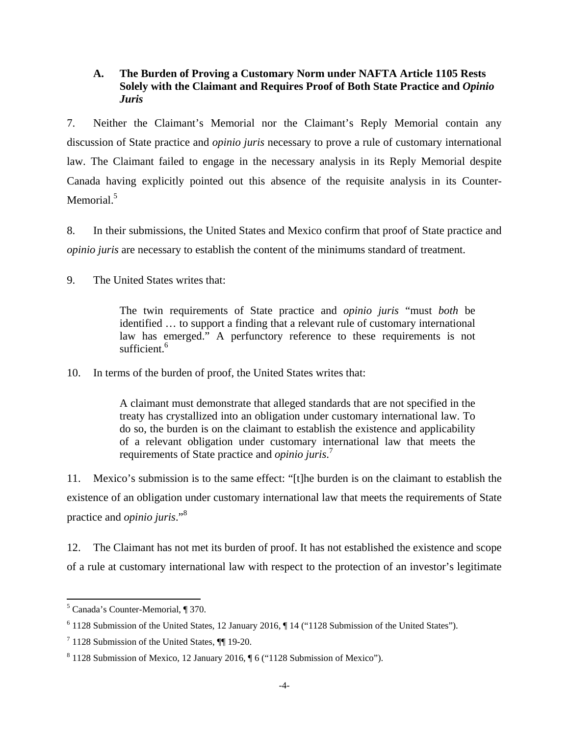### **A. The Burden of Proving a Customary Norm under NAFTA Article 1105 Rests Solely with the Claimant and Requires Proof of Both State Practice and** *Opinio Juris*

7. Neither the Claimant's Memorial nor the Claimant's Reply Memorial contain any discussion of State practice and *opinio juris* necessary to prove a rule of customary international law. The Claimant failed to engage in the necessary analysis in its Reply Memorial despite Canada having explicitly pointed out this absence of the requisite analysis in its Counter-Memorial.<sup>5</sup>

8. In their submissions, the United States and Mexico confirm that proof of State practice and *opinio juris* are necessary to establish the content of the minimums standard of treatment.

9. The United States writes that:

The twin requirements of State practice and *opinio juris* "must *both* be identified … to support a finding that a relevant rule of customary international law has emerged." A perfunctory reference to these requirements is not sufficient.<sup>6</sup>

10. In terms of the burden of proof, the United States writes that:

A claimant must demonstrate that alleged standards that are not specified in the treaty has crystallized into an obligation under customary international law. To do so, the burden is on the claimant to establish the existence and applicability of a relevant obligation under customary international law that meets the requirements of State practice and *opinio juris*. 7

11. Mexico's submission is to the same effect: "[t]he burden is on the claimant to establish the existence of an obligation under customary international law that meets the requirements of State practice and *opinio juris*."<sup>8</sup>

12. The Claimant has not met its burden of proof. It has not established the existence and scope of a rule at customary international law with respect to the protection of an investor's legitimate

 5 Canada's Counter-Memorial, ¶ 370.

<sup>&</sup>lt;sup>6</sup> 1128 Submission of the United States, 12 January 2016, || 14 ("1128 Submission of the United States").

 $7$  1128 Submission of the United States,  $\P$  19-20.

 $8$  1128 Submission of Mexico, 12 January 2016,  $\sqrt{6}$  ("1128 Submission of Mexico").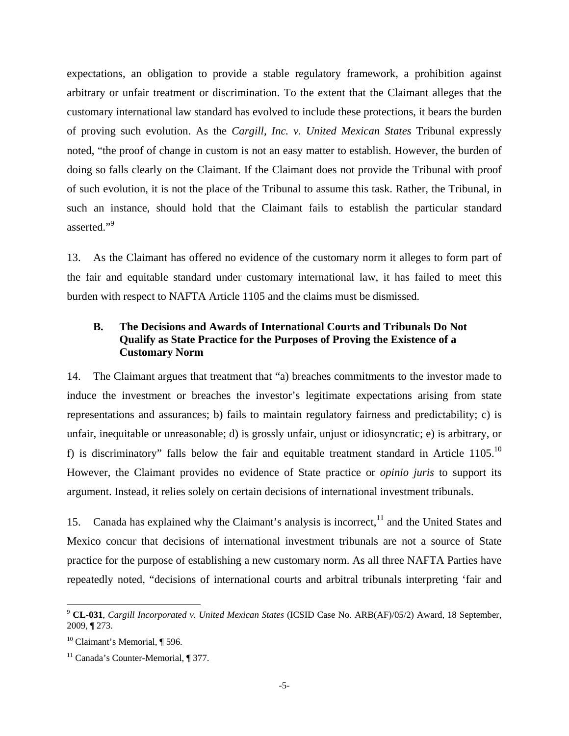expectations, an obligation to provide a stable regulatory framework, a prohibition against arbitrary or unfair treatment or discrimination. To the extent that the Claimant alleges that the customary international law standard has evolved to include these protections, it bears the burden of proving such evolution. As the *Cargill, Inc. v. United Mexican States* Tribunal expressly noted, "the proof of change in custom is not an easy matter to establish. However, the burden of doing so falls clearly on the Claimant. If the Claimant does not provide the Tribunal with proof of such evolution, it is not the place of the Tribunal to assume this task. Rather, the Tribunal, in such an instance, should hold that the Claimant fails to establish the particular standard asserted."<sup>9</sup>

13. As the Claimant has offered no evidence of the customary norm it alleges to form part of the fair and equitable standard under customary international law, it has failed to meet this burden with respect to NAFTA Article 1105 and the claims must be dismissed.

### **B. The Decisions and Awards of International Courts and Tribunals Do Not Qualify as State Practice for the Purposes of Proving the Existence of a Customary Norm**

14. The Claimant argues that treatment that "a) breaches commitments to the investor made to induce the investment or breaches the investor's legitimate expectations arising from state representations and assurances; b) fails to maintain regulatory fairness and predictability; c) is unfair, inequitable or unreasonable; d) is grossly unfair, unjust or idiosyncratic; e) is arbitrary, or f) is discriminatory" falls below the fair and equitable treatment standard in Article  $1105$ .<sup>10</sup> However, the Claimant provides no evidence of State practice or *opinio juris* to support its argument. Instead, it relies solely on certain decisions of international investment tribunals.

15. Canada has explained why the Claimant's analysis is incorrect,  $\frac{11}{11}$  and the United States and Mexico concur that decisions of international investment tribunals are not a source of State practice for the purpose of establishing a new customary norm. As all three NAFTA Parties have repeatedly noted, "decisions of international courts and arbitral tribunals interpreting 'fair and

<sup>9</sup> **CL-031**, *Cargill Incorporated v. United Mexican States* (ICSID Case No. ARB(AF)/05/2) Award, 18 September, 2009, ¶ 273.

 $10$  Claimant's Memorial, ¶ 596.

<sup>&</sup>lt;sup>11</sup> Canada's Counter-Memorial, ¶ 377.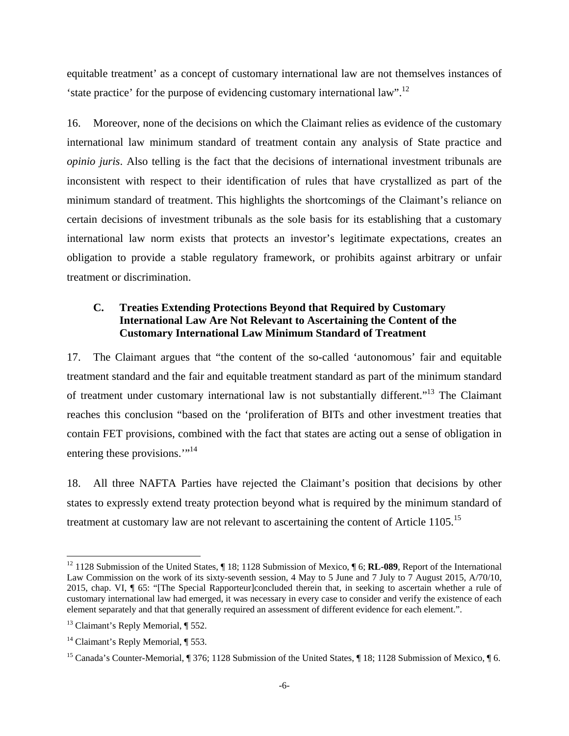equitable treatment' as a concept of customary international law are not themselves instances of 'state practice' for the purpose of evidencing customary international law".12

16. Moreover, none of the decisions on which the Claimant relies as evidence of the customary international law minimum standard of treatment contain any analysis of State practice and *opinio juris*. Also telling is the fact that the decisions of international investment tribunals are inconsistent with respect to their identification of rules that have crystallized as part of the minimum standard of treatment. This highlights the shortcomings of the Claimant's reliance on certain decisions of investment tribunals as the sole basis for its establishing that a customary international law norm exists that protects an investor's legitimate expectations, creates an obligation to provide a stable regulatory framework, or prohibits against arbitrary or unfair treatment or discrimination.

# **C. Treaties Extending Protections Beyond that Required by Customary International Law Are Not Relevant to Ascertaining the Content of the Customary International Law Minimum Standard of Treatment**

17. The Claimant argues that "the content of the so-called 'autonomous' fair and equitable treatment standard and the fair and equitable treatment standard as part of the minimum standard of treatment under customary international law is not substantially different."13 The Claimant reaches this conclusion "based on the 'proliferation of BITs and other investment treaties that contain FET provisions, combined with the fact that states are acting out a sense of obligation in entering these provisions."<sup>14</sup>

18. All three NAFTA Parties have rejected the Claimant's position that decisions by other states to expressly extend treaty protection beyond what is required by the minimum standard of treatment at customary law are not relevant to ascertaining the content of Article 1105.<sup>15</sup>

<sup>12 1128</sup> Submission of the United States, ¶ 18; 1128 Submission of Mexico, ¶ 6; **RL-089**, Report of the International Law Commission on the work of its sixty-seventh session, 4 May to 5 June and 7 July to 7 August 2015, A/70/10, 2015, chap. VI, ¶ 65: "[The Special Rapporteur]concluded therein that, in seeking to ascertain whether a rule of customary international law had emerged, it was necessary in every case to consider and verify the existence of each element separately and that that generally required an assessment of different evidence for each element.".

 $13$  Claimant's Reply Memorial,  $\P$  552.

<sup>&</sup>lt;sup>14</sup> Claimant's Reply Memorial,  $\P$  553.

<sup>&</sup>lt;sup>15</sup> Canada's Counter-Memorial, ¶ 376; 1128 Submission of the United States, ¶ 18; 1128 Submission of Mexico, ¶ 6.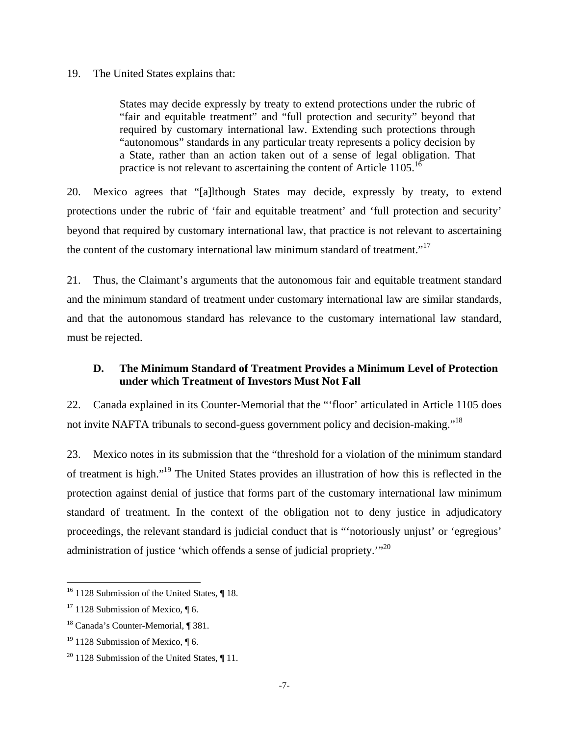#### 19. The United States explains that:

States may decide expressly by treaty to extend protections under the rubric of "fair and equitable treatment" and "full protection and security" beyond that required by customary international law. Extending such protections through "autonomous" standards in any particular treaty represents a policy decision by a State, rather than an action taken out of a sense of legal obligation. That practice is not relevant to ascertaining the content of Article  $1105$ <sup>16</sup>

20. Mexico agrees that "[a]lthough States may decide, expressly by treaty, to extend protections under the rubric of 'fair and equitable treatment' and 'full protection and security' beyond that required by customary international law, that practice is not relevant to ascertaining the content of the customary international law minimum standard of treatment."<sup>17</sup>

21. Thus, the Claimant's arguments that the autonomous fair and equitable treatment standard and the minimum standard of treatment under customary international law are similar standards, and that the autonomous standard has relevance to the customary international law standard, must be rejected.

### **D. The Minimum Standard of Treatment Provides a Minimum Level of Protection under which Treatment of Investors Must Not Fall**

22. Canada explained in its Counter-Memorial that the "'floor' articulated in Article 1105 does not invite NAFTA tribunals to second-guess government policy and decision-making."<sup>18</sup>

23. Mexico notes in its submission that the "threshold for a violation of the minimum standard of treatment is high."19 The United States provides an illustration of how this is reflected in the protection against denial of justice that forms part of the customary international law minimum standard of treatment. In the context of the obligation not to deny justice in adjudicatory proceedings, the relevant standard is judicial conduct that is "'notoriously unjust' or 'egregious' administration of justice 'which offends a sense of judicial propriety.'"20

 $16$  1128 Submission of the United States,  $\P$  18.

 $17$  1128 Submission of Mexico,  $\P$  6.

<sup>18</sup> Canada's Counter-Memorial, ¶ 381.

<sup>&</sup>lt;sup>19</sup> 1128 Submission of Mexico,  $\P$  6.

 $20$  1128 Submission of the United States,  $\P$  11.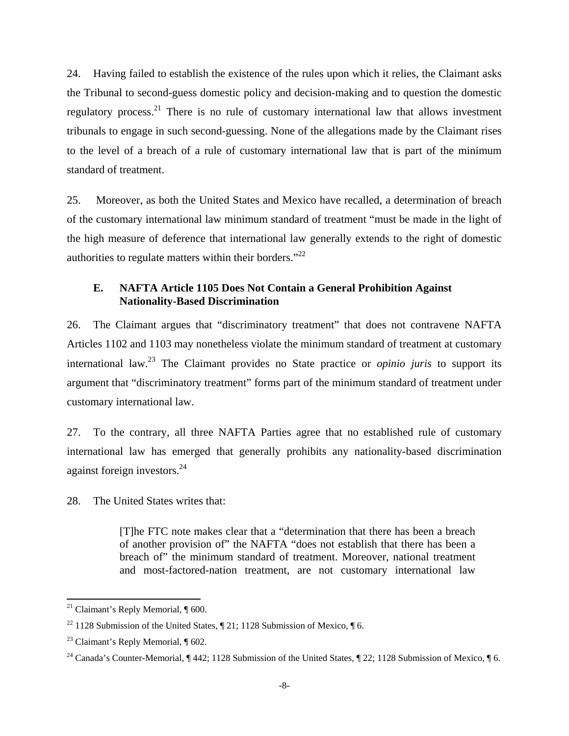24. Having failed to establish the existence of the rules upon which it relies, the Claimant asks the Tribunal to second-guess domestic policy and decision-making and to question the domestic regulatory process.<sup>21</sup> There is no rule of customary international law that allows investment tribunals to engage in such second-guessing. None of the allegations made by the Claimant rises to the level of a breach of a rule of customary international law that is part of the minimum standard of treatment.

25. Moreover, as both the United States and Mexico have recalled, a determination of breach of the customary international law minimum standard of treatment "must be made in the light of the high measure of deference that international law generally extends to the right of domestic authorities to regulate matters within their borders."22

### **E. NAFTA Article 1105 Does Not Contain a General Prohibition Against Nationality-Based Discrimination**

26. The Claimant argues that "discriminatory treatment" that does not contravene NAFTA Articles 1102 and 1103 may nonetheless violate the minimum standard of treatment at customary international law.23 The Claimant provides no State practice or *opinio juris* to support its argument that "discriminatory treatment" forms part of the minimum standard of treatment under customary international law.

27. To the contrary, all three NAFTA Parties agree that no established rule of customary international law has emerged that generally prohibits any nationality-based discrimination against foreign investors.<sup>24</sup>

28. The United States writes that:

[T]he FTC note makes clear that a "determination that there has been a breach of another provision of" the NAFTA "does not establish that there has been a breach of" the minimum standard of treatment. Moreover, national treatment and most-factored-nation treatment, are not customary international law

 <sup>21</sup> Claimant's Reply Memorial,  $\P$  600.

<sup>&</sup>lt;sup>22</sup> 1128 Submission of the United States,  $\P$  21; 1128 Submission of Mexico,  $\P$  6.

<sup>23</sup> Claimant's Reply Memorial, ¶ 602.

<sup>&</sup>lt;sup>24</sup> Canada's Counter-Memorial, ¶ 442; 1128 Submission of the United States, ¶ 22; 1128 Submission of Mexico, ¶ 6.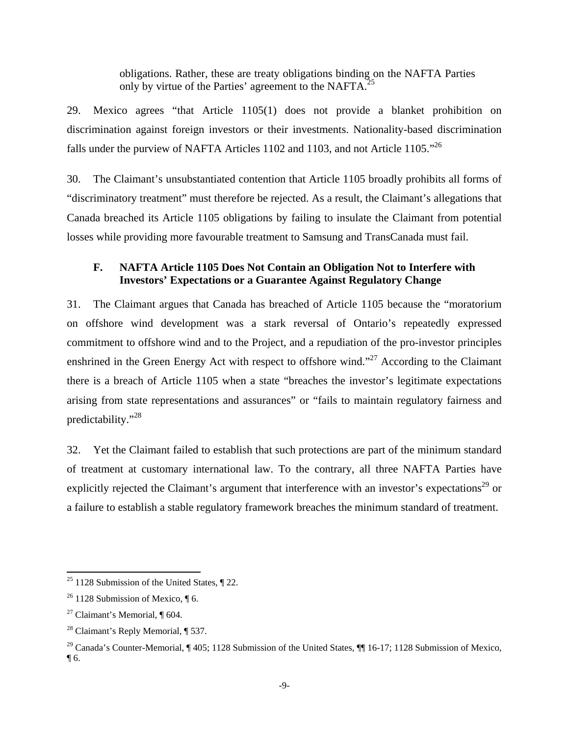obligations. Rather, these are treaty obligations binding on the NAFTA Parties only by virtue of the Parties' agreement to the NAFTA.<sup>25</sup>

29. Mexico agrees "that Article 1105(1) does not provide a blanket prohibition on discrimination against foreign investors or their investments. Nationality-based discrimination falls under the purview of NAFTA Articles 1102 and 1103, and not Article 1105."26

30. The Claimant's unsubstantiated contention that Article 1105 broadly prohibits all forms of "discriminatory treatment" must therefore be rejected. As a result, the Claimant's allegations that Canada breached its Article 1105 obligations by failing to insulate the Claimant from potential losses while providing more favourable treatment to Samsung and TransCanada must fail.

### **F. NAFTA Article 1105 Does Not Contain an Obligation Not to Interfere with Investors' Expectations or a Guarantee Against Regulatory Change**

31. The Claimant argues that Canada has breached of Article 1105 because the "moratorium on offshore wind development was a stark reversal of Ontario's repeatedly expressed commitment to offshore wind and to the Project, and a repudiation of the pro-investor principles enshrined in the Green Energy Act with respect to offshore wind."<sup>27</sup> According to the Claimant there is a breach of Article 1105 when a state "breaches the investor's legitimate expectations arising from state representations and assurances" or "fails to maintain regulatory fairness and predictability."28

32. Yet the Claimant failed to establish that such protections are part of the minimum standard of treatment at customary international law. To the contrary, all three NAFTA Parties have explicitly rejected the Claimant's argument that interference with an investor's expectations<sup>29</sup> or a failure to establish a stable regulatory framework breaches the minimum standard of treatment.

 $25$  1128 Submission of the United States,  $\sqrt{22}$ .

 $26$  1128 Submission of Mexico,  $\P$  6.

<sup>&</sup>lt;sup>27</sup> Claimant's Memorial,  $\P$  604.

 $28$  Claimant's Reply Memorial,  $\P$  537.

<sup>&</sup>lt;sup>29</sup> Canada's Counter-Memorial, ¶ 405; 1128 Submission of the United States, ¶ 16-17; 1128 Submission of Mexico,  $\P$  6.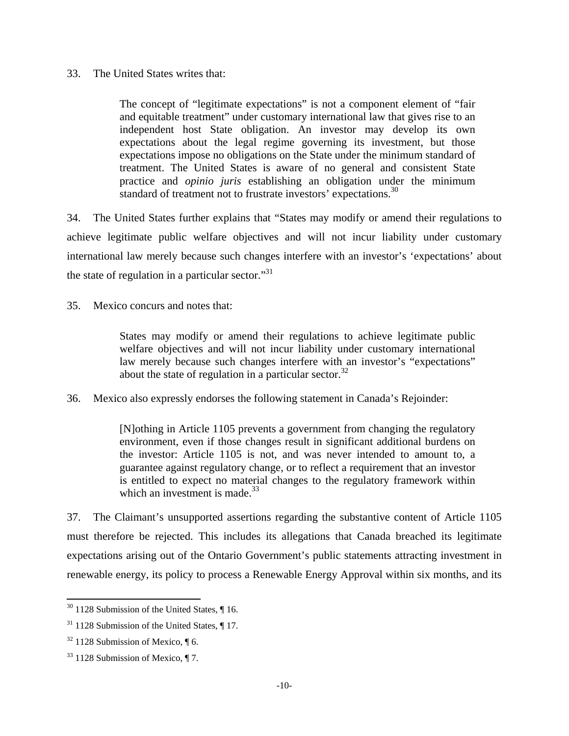### 33. The United States writes that:

The concept of "legitimate expectations" is not a component element of "fair and equitable treatment" under customary international law that gives rise to an independent host State obligation. An investor may develop its own expectations about the legal regime governing its investment, but those expectations impose no obligations on the State under the minimum standard of treatment. The United States is aware of no general and consistent State practice and *opinio juris* establishing an obligation under the minimum standard of treatment not to frustrate investors' expectations.<sup>30</sup>

34. The United States further explains that "States may modify or amend their regulations to achieve legitimate public welfare objectives and will not incur liability under customary international law merely because such changes interfere with an investor's 'expectations' about the state of regulation in a particular sector. $"$ <sup>31</sup>

35. Mexico concurs and notes that:

States may modify or amend their regulations to achieve legitimate public welfare objectives and will not incur liability under customary international law merely because such changes interfere with an investor's "expectations" about the state of regulation in a particular sector.<sup>32</sup>

36. Mexico also expressly endorses the following statement in Canada's Rejoinder:

[N]othing in Article 1105 prevents a government from changing the regulatory environment, even if those changes result in significant additional burdens on the investor: Article 1105 is not, and was never intended to amount to, a guarantee against regulatory change, or to reflect a requirement that an investor is entitled to expect no material changes to the regulatory framework within which an investment is made. $33$ 

37. The Claimant's unsupported assertions regarding the substantive content of Article 1105 must therefore be rejected. This includes its allegations that Canada breached its legitimate expectations arising out of the Ontario Government's public statements attracting investment in renewable energy, its policy to process a Renewable Energy Approval within six months, and its

 $30$  1128 Submission of the United States,  $\P$  16.

 $31$  1128 Submission of the United States,  $\P$  17.

 $32$  1128 Submission of Mexico,  $\P$  6.

 $33$  1128 Submission of Mexico,  $\P$  7.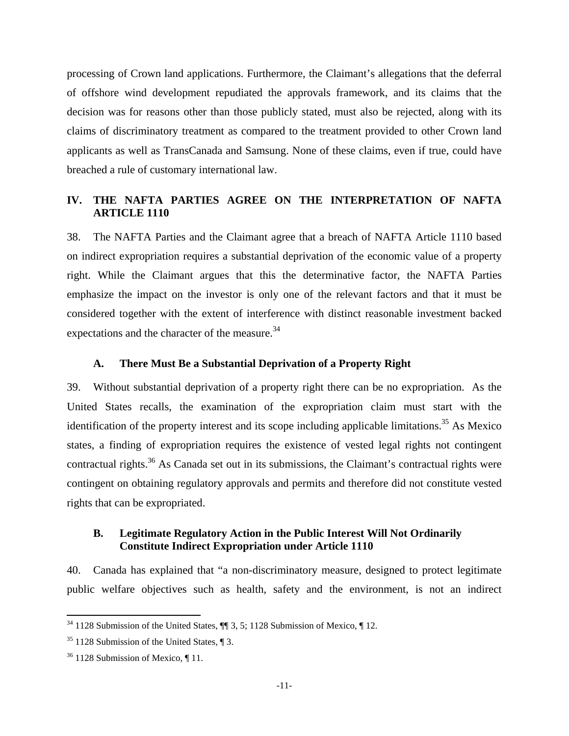processing of Crown land applications. Furthermore, the Claimant's allegations that the deferral of offshore wind development repudiated the approvals framework, and its claims that the decision was for reasons other than those publicly stated, must also be rejected, along with its claims of discriminatory treatment as compared to the treatment provided to other Crown land applicants as well as TransCanada and Samsung. None of these claims, even if true, could have breached a rule of customary international law.

# **IV. THE NAFTA PARTIES AGREE ON THE INTERPRETATION OF NAFTA ARTICLE 1110**

38. The NAFTA Parties and the Claimant agree that a breach of NAFTA Article 1110 based on indirect expropriation requires a substantial deprivation of the economic value of a property right. While the Claimant argues that this the determinative factor, the NAFTA Parties emphasize the impact on the investor is only one of the relevant factors and that it must be considered together with the extent of interference with distinct reasonable investment backed expectations and the character of the measure.<sup>34</sup>

### **A. There Must Be a Substantial Deprivation of a Property Right**

39. Without substantial deprivation of a property right there can be no expropriation. As the United States recalls, the examination of the expropriation claim must start with the identification of the property interest and its scope including applicable limitations.<sup>35</sup> As Mexico states, a finding of expropriation requires the existence of vested legal rights not contingent contractual rights.<sup>36</sup> As Canada set out in its submissions, the Claimant's contractual rights were contingent on obtaining regulatory approvals and permits and therefore did not constitute vested rights that can be expropriated.

### **B. Legitimate Regulatory Action in the Public Interest Will Not Ordinarily Constitute Indirect Expropriation under Article 1110**

40. Canada has explained that "a non-discriminatory measure, designed to protect legitimate public welfare objectives such as health, safety and the environment, is not an indirect

 $34$  1128 Submission of the United States,  $\P$  3, 5; 1128 Submission of Mexico,  $\P$  12.

 $35$  1128 Submission of the United States,  $\P$  3.

 $36$  1128 Submission of Mexico,  $\P$  11.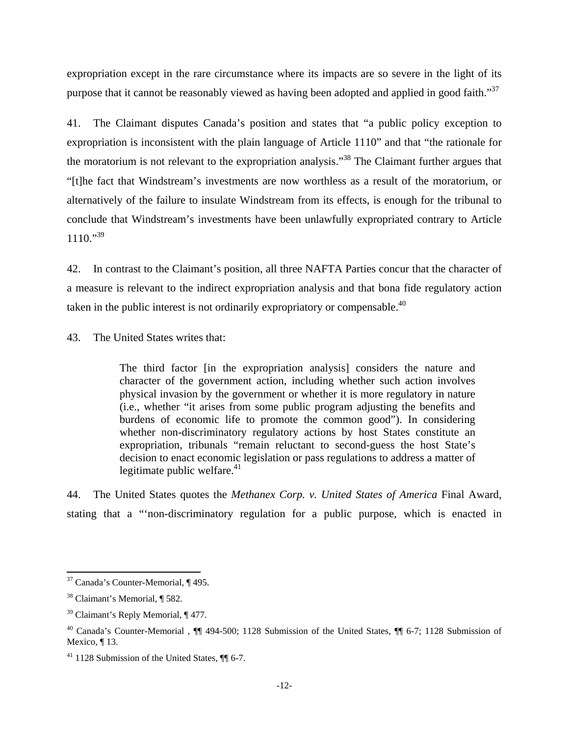expropriation except in the rare circumstance where its impacts are so severe in the light of its purpose that it cannot be reasonably viewed as having been adopted and applied in good faith."<sup>37</sup>

41. The Claimant disputes Canada's position and states that "a public policy exception to expropriation is inconsistent with the plain language of Article 1110" and that "the rationale for the moratorium is not relevant to the expropriation analysis."38 The Claimant further argues that "[t]he fact that Windstream's investments are now worthless as a result of the moratorium, or alternatively of the failure to insulate Windstream from its effects, is enough for the tribunal to conclude that Windstream's investments have been unlawfully expropriated contrary to Article  $1110.^{9,39}$ 

42. In contrast to the Claimant's position, all three NAFTA Parties concur that the character of a measure is relevant to the indirect expropriation analysis and that bona fide regulatory action taken in the public interest is not ordinarily expropriatory or compensable. $40$ 

43. The United States writes that:

The third factor [in the expropriation analysis] considers the nature and character of the government action, including whether such action involves physical invasion by the government or whether it is more regulatory in nature (i.e., whether "it arises from some public program adjusting the benefits and burdens of economic life to promote the common good"). In considering whether non-discriminatory regulatory actions by host States constitute an expropriation, tribunals "remain reluctant to second-guess the host State's decision to enact economic legislation or pass regulations to address a matter of legitimate public welfare. $41$ 

44. The United States quotes the *Methanex Corp. v. United States of America* Final Award, stating that a "'non-discriminatory regulation for a public purpose, which is enacted in

  $37$  Canada's Counter-Memorial,  $\P$  495.

<sup>38</sup> Claimant's Memorial, ¶ 582.

<sup>&</sup>lt;sup>39</sup> Claimant's Reply Memorial, ¶ 477.

<sup>40</sup> Canada's Counter-Memorial , ¶¶ 494-500; 1128 Submission of the United States, ¶¶ 6-7; 1128 Submission of Mexico, ¶13.

 $41$  1128 Submission of the United States,  $\P$  6-7.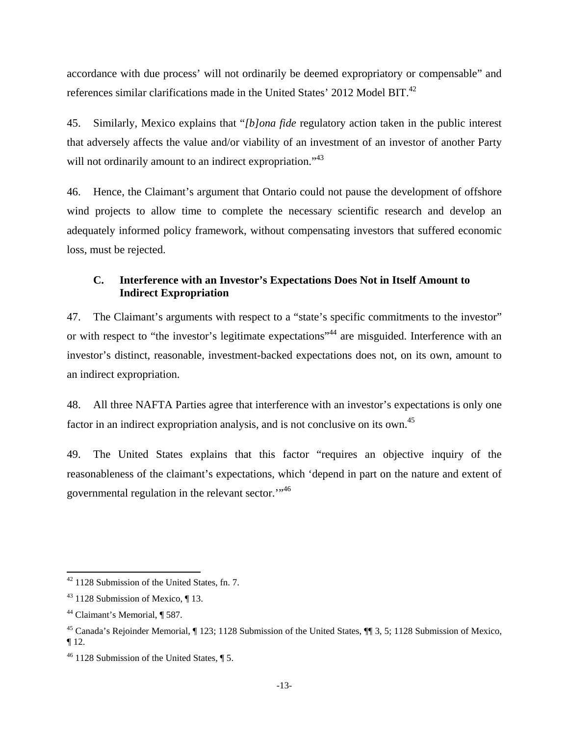accordance with due process' will not ordinarily be deemed expropriatory or compensable" and references similar clarifications made in the United States' 2012 Model BIT.<sup>42</sup>

45. Similarly, Mexico explains that "*[b]ona fide* regulatory action taken in the public interest that adversely affects the value and/or viability of an investment of an investor of another Party will not ordinarily amount to an indirect expropriation."<sup>43</sup>

46. Hence, the Claimant's argument that Ontario could not pause the development of offshore wind projects to allow time to complete the necessary scientific research and develop an adequately informed policy framework, without compensating investors that suffered economic loss, must be rejected.

# **C. Interference with an Investor's Expectations Does Not in Itself Amount to Indirect Expropriation**

47. The Claimant's arguments with respect to a "state's specific commitments to the investor" or with respect to "the investor's legitimate expectations"<sup>44</sup> are misguided. Interference with an investor's distinct, reasonable, investment-backed expectations does not, on its own, amount to an indirect expropriation.

48. All three NAFTA Parties agree that interference with an investor's expectations is only one factor in an indirect expropriation analysis, and is not conclusive on its own.<sup>45</sup>

49. The United States explains that this factor "requires an objective inquiry of the reasonableness of the claimant's expectations, which 'depend in part on the nature and extent of governmental regulation in the relevant sector.'"46

  $42$  1128 Submission of the United States, fn. 7.

 $43$  1128 Submission of Mexico,  $\P$  13.

<sup>44</sup> Claimant's Memorial, ¶ 587.

<sup>45</sup> Canada's Rejoinder Memorial, ¶ 123; 1128 Submission of the United States, ¶¶ 3, 5; 1128 Submission of Mexico,  $\P$ 12.

 $46$  1128 Submission of the United States,  $\P$  5.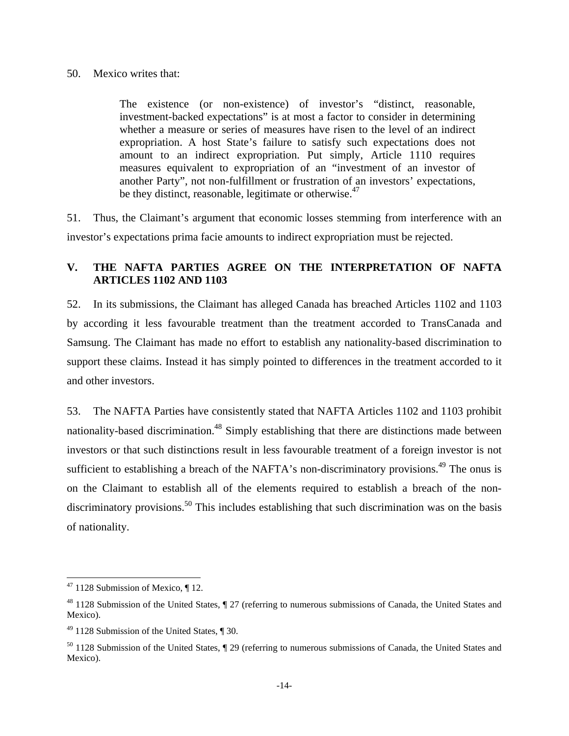#### 50. Mexico writes that:

The existence (or non-existence) of investor's "distinct, reasonable, investment-backed expectations" is at most a factor to consider in determining whether a measure or series of measures have risen to the level of an indirect expropriation. A host State's failure to satisfy such expectations does not amount to an indirect expropriation. Put simply, Article 1110 requires measures equivalent to expropriation of an "investment of an investor of another Party", not non-fulfillment or frustration of an investors' expectations, be they distinct, reasonable, legitimate or otherwise.<sup>47</sup>

51. Thus, the Claimant's argument that economic losses stemming from interference with an investor's expectations prima facie amounts to indirect expropriation must be rejected.

# **V. THE NAFTA PARTIES AGREE ON THE INTERPRETATION OF NAFTA ARTICLES 1102 AND 1103**

52. In its submissions, the Claimant has alleged Canada has breached Articles 1102 and 1103 by according it less favourable treatment than the treatment accorded to TransCanada and Samsung. The Claimant has made no effort to establish any nationality-based discrimination to support these claims. Instead it has simply pointed to differences in the treatment accorded to it and other investors.

53. The NAFTA Parties have consistently stated that NAFTA Articles 1102 and 1103 prohibit nationality-based discrimination.<sup>48</sup> Simply establishing that there are distinctions made between investors or that such distinctions result in less favourable treatment of a foreign investor is not sufficient to establishing a breach of the NAFTA's non-discriminatory provisions.<sup>49</sup> The onus is on the Claimant to establish all of the elements required to establish a breach of the nondiscriminatory provisions.<sup>50</sup> This includes establishing that such discrimination was on the basis of nationality.

  $47$  1128 Submission of Mexico,  $\P$  12.

 $48$  1128 Submission of the United States,  $\sqrt{ }$  27 (referring to numerous submissions of Canada, the United States and Mexico).

 $49$  1128 Submission of the United States,  $\P$  30.

 $50$  1128 Submission of the United States,  $\sqrt{ }$  29 (referring to numerous submissions of Canada, the United States and Mexico).